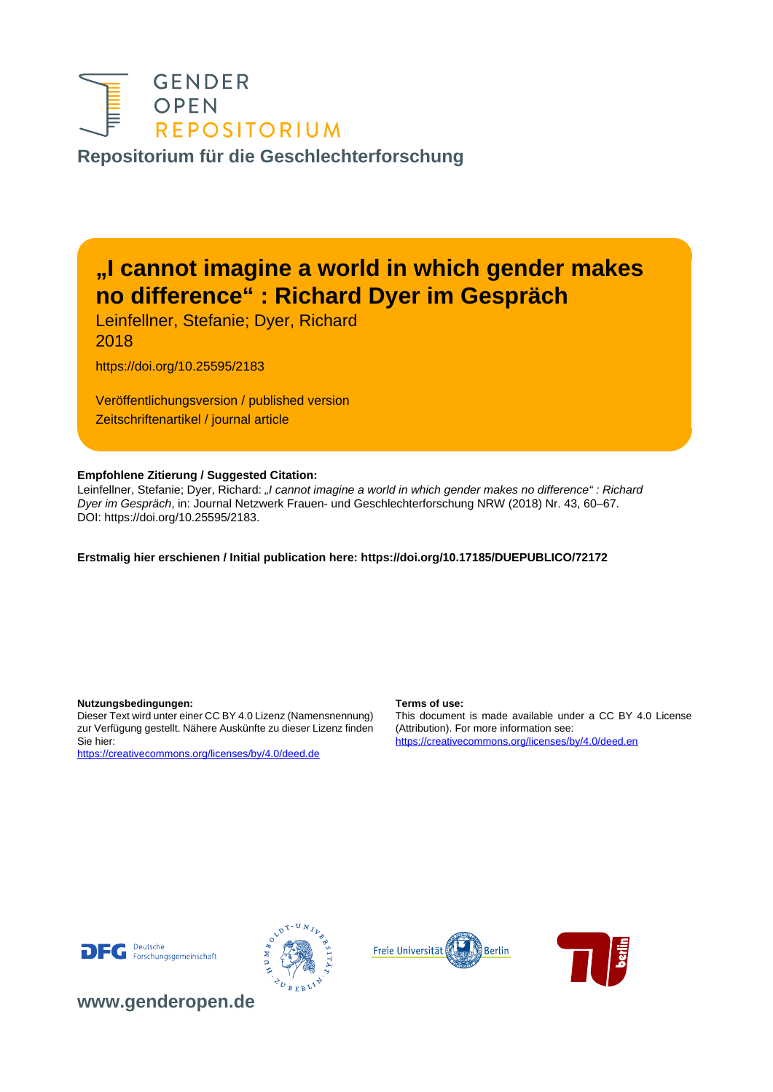

**[Repositorium für die Geschlechterforschung](https://www.genderopen.de/)**

# **"I cannot imagine a world in which gender makes no difference" : Richard Dyer im Gespräch**

Leinfellner, Stefanie; Dyer, Richard 2018

https://doi.org/10.25595/2183

Veröffentlichungsversion / published version Zeitschriftenartikel / journal article

### **Empfohlene Zitierung / Suggested Citation:**

Leinfellner, Stefanie; Dyer, Richard: "I cannot imagine a world in which gender makes no difference" : Richard Dyer im Gespräch, in: Journal Netzwerk Frauen- und Geschlechterforschung NRW (2018) Nr. 43, 60–67. DOI: https://doi.org/10.25595/2183.

### **Erstmalig hier erschienen / Initial publication here: https://doi.org/10.17185/DUEPUBLICO/72172**

### **Nutzungsbedingungen: Terms of use:**

Dieser Text wird unter einer CC BY 4.0 Lizenz (Namensnennung) zur Verfügung gestellt. Nähere Auskünfte zu dieser Lizenz finden Sie hier:

<https://creativecommons.org/licenses/by/4.0/deed.de>

This document is made available under a CC BY 4.0 License (Attribution). For more information see: <https://creativecommons.org/licenses/by/4.0/deed.en>









**[www.genderopen.de](https://www.genderopen.de)**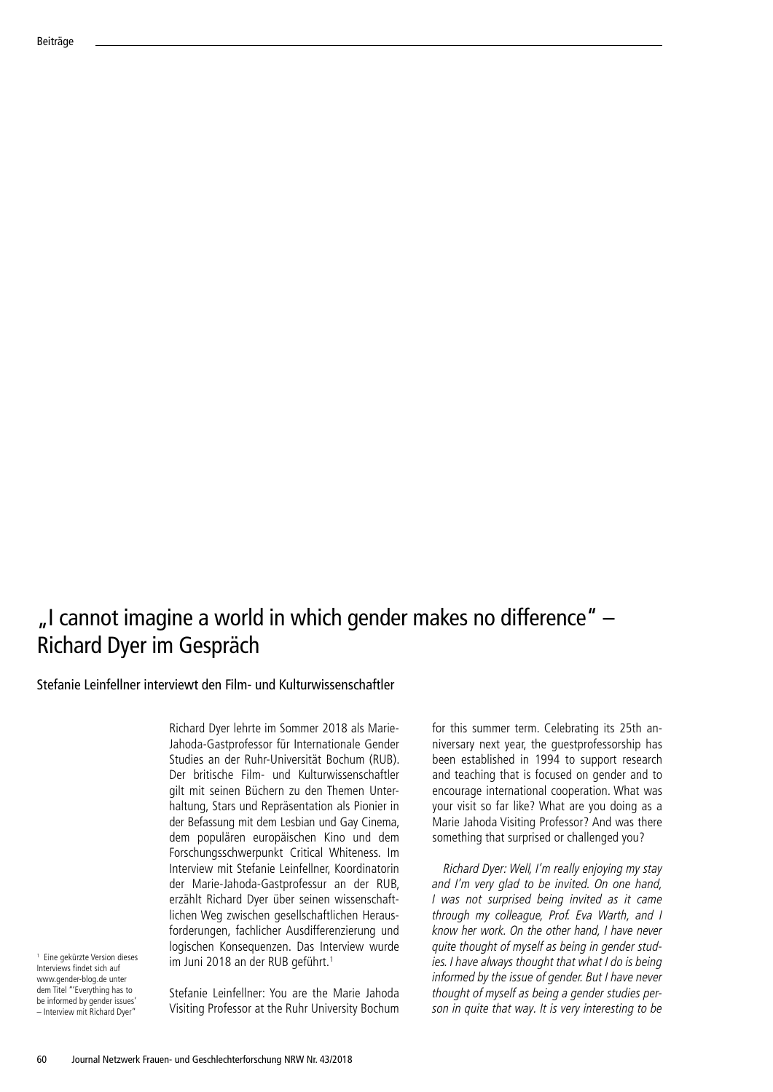## $\mu$  cannot imagine a world in which gender makes no difference"  $-$ Richard Dyer im Gespräch

Stefanie Leinfellner interviewt den Film- und Kulturwissenschaftler

Richard Dyer lehrte im Sommer 2018 als Marie-Jahoda-Gastprofessor für Internationale Gender Studies an der Ruhr-Universität Bochum (RUB). Der britische Film- und Kulturwissenschaftler gilt mit seinen Büchern zu den Themen Unterhaltung, Stars und Repräsentation als Pionier in der Befassung mit dem Lesbian und Gay Cinema, dem populären europäischen Kino und dem Forschungsschwerpunkt Critical Whiteness. Im Interview mit Stefanie Leinfellner, Koordinatorin der Marie-Jahoda-Gastprofessur an der RUB, erzählt Richard Dyer über seinen wissenschaftlichen Weg zwischen gesellschaftlichen Herausforderungen, fachlicher Ausdifferenzierung und logischen Konsequenzen. Das Interview wurde im Juni 2018 an der RUB geführt.<sup>1</sup>

1 Eine gekürzte Version dieses Interviews findet sich auf www.gender-blog.de unter dem Titel "'Everything has to be informed by gender issues' – Interview mit Richard Dyer"

Stefanie Leinfellner: You are the Marie Jahoda Visiting Professor at the Ruhr University Bochum

for this summer term. Celebrating its 25th anniversary next year, the guestprofessorship has been established in 1994 to support research and teaching that is focused on gender and to encourage international cooperation. What was your visit so far like? What are you doing as a Marie Jahoda Visiting Professor? And was there something that surprised or challenged you?

Richard Dyer: Well, I'm really enjoying my stay and I'm very glad to be invited. On one hand, I was not surprised being invited as it came through my colleague, Prof. Eva Warth, and I know her work. On the other hand, I have never quite thought of myself as being in gender studies. I have always thought that what I do is being informed by the issue of gender. But I have never thought of myself as being a gender studies person in quite that way. It is very interesting to be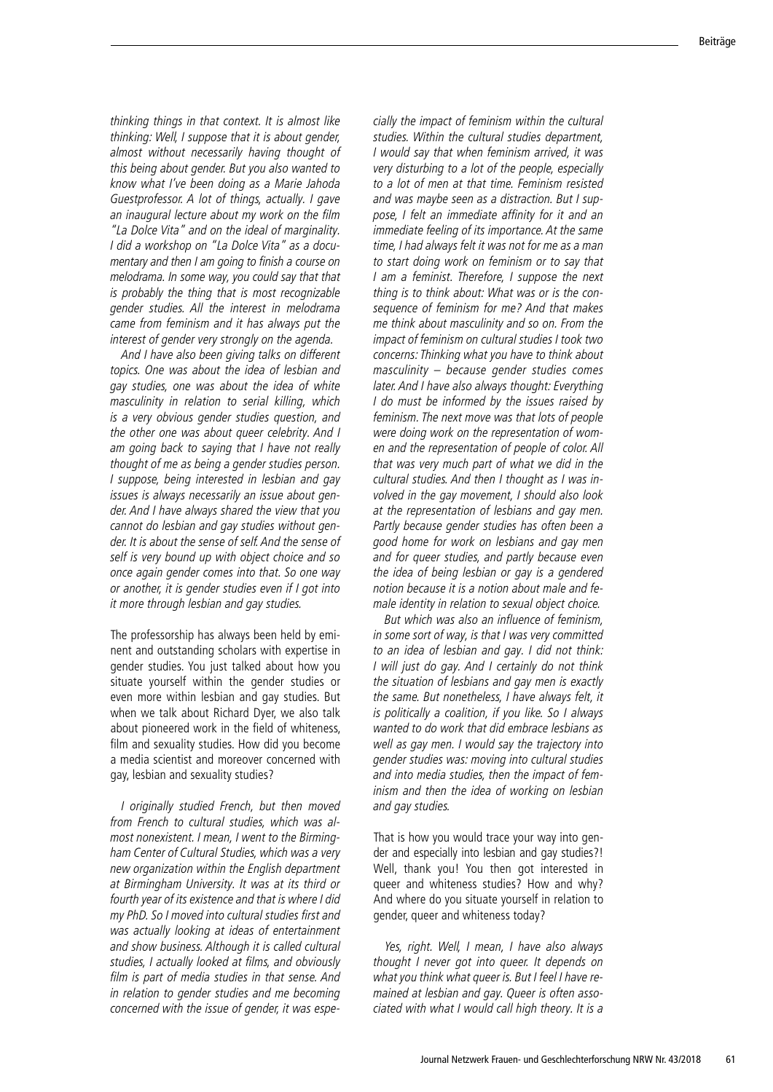thinking things in that context. It is almost like thinking: Well, I suppose that it is about gender, almost without necessarily having thought of this being about gender. But you also wanted to know what I've been doing as a Marie Jahoda Guestprofessor. A lot of things, actually. I gave an inaugural lecture about my work on the film "La Dolce Vita" and on the ideal of marginality. I did a workshop on "La Dolce Vita" as a docu mentary and then I am going to finish a course on melodrama. In some way, you could say that that is probably the thing that is most recognizable gender studies. All the interest in melodrama came from feminism and it has always put the interest of gender very strongly on the agenda.

And I have also been giving talks on different topics. One was about the idea of lesbian and gay studies, one was about the idea of white masculinity in relation to serial killing, which is a very obvious gender studies question, and the other one was about queer celebrity. And I am going back to saying that I have not really thought of me as being a gender studies person. I suppose, being interested in lesbian and gay issues is always necessarily an issue about gen der. And I have always shared the view that you cannot do lesbian and gay studies without gen der. It is about the sense of self. And the sense of self is very bound up with object choice and so once again gender comes into that. So one way or another, it is gender studies even if I got into it more through lesbian and gay studies.

The professorship has always been held by emi nent and outstanding scholars with expertise in gender studies. You just talked about how you situate yourself within the gender studies or even more within lesbian and gay studies. But when we talk about Richard Dyer, we also talk about pioneered work in the field of whiteness, film and sexuality studies. How did you become a media scientist and moreover concerned with gay, lesbian and sexuality studies?

I originally studied French, but then moved from French to cultural studies, which was al most nonexistent. I mean, I went to the Birming ham Center of Cultural Studies, which was a very new organization within the English department at Birmingham University. It was at its third or fourth year of its existence and that is where I did my PhD. So I moved into cultural studies first and was actually looking at ideas of entertainment and show business. Although it is called cultural studies, I actually looked at films, and obviously film is part of media studies in that sense. And in relation to gender studies and me becoming concerned with the issue of gender, it was espe

cially the impact of feminism within the cultural studies. Within the cultural studies department, I would say that when feminism arrived, it was very disturbing to a lot of the people, especially to a lot of men at that time. Feminism resisted and was maybe seen as a distraction. But I sup pose, I felt an immediate affinity for it and an immediate feeling of its importance. At the same time, I had always felt it was not for me as a man to start doing work on feminism or to say that I am a feminist. Therefore, I suppose the next thing is to think about: What was or is the con sequence of feminism for me? And that makes me think about masculinity and so on. From the impact of feminism on cultural studies I took two concerns: Thinking what you have to think about masculinity – because gender studies comes later. And I have also always thought: Everything I do must be informed by the issues raised by feminism. The next move was that lots of people were doing work on the representation of wom en and the representation of people of color. All that was very much part of what we did in the cultural studies. And then I thought as I was in volved in the gay movement, I should also look at the representation of lesbians and gay men. Partly because gender studies has often been a good home for work on lesbians and gay men and for queer studies, and partly because even the idea of being lesbian or gay is a gendered notion because it is a notion about male and fe male identity in relation to sexual object choice.

But which was also an influence of feminism, in some sort of way, is that I was very committed to an idea of lesbian and gay. I did not think: I will just do gay. And I certainly do not think the situation of lesbians and gay men is exactly the same. But nonetheless, I have always felt, it is politically a coalition, if you like. So I always wanted to do work that did embrace lesbians as well as gay men. I would say the trajectory into gender studies was: moving into cultural studies and into media studies, then the impact of fem inism and then the idea of working on lesbian and gay studies.

That is how you would trace your way into gen der and especially into lesbian and gay studies?! Well, thank you! You then got interested in queer and whiteness studies? How and why? And where do you situate yourself in relation to gender, queer and whiteness today?

Yes, right. Well, I mean, I have also always thought I never got into queer. It depends on what you think what queer is. But I feel I have re mained at lesbian and gay. Queer is often asso ciated with what I would call high theory. It is a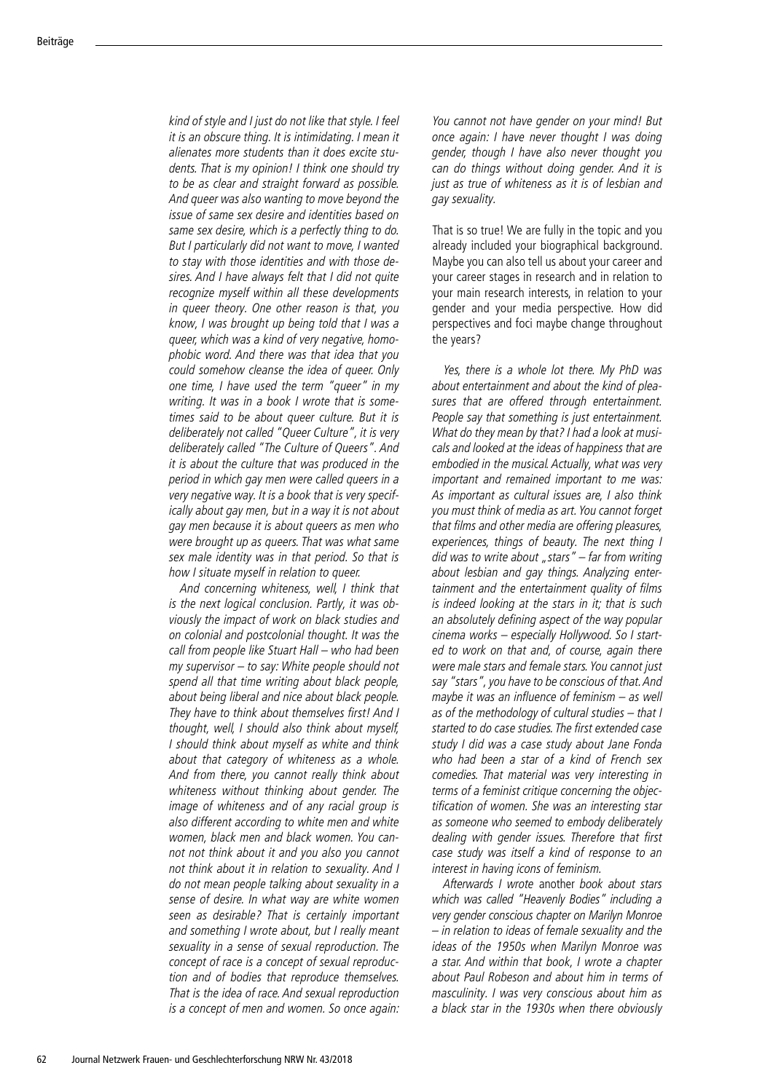kind of style and I just do not like that style. I feel it is an obscure thing. It is intimidating. I mean it alienates more students than it does excite stu dents. That is my opinion! I think one should try to be as clear and straight forward as possible. And queer was also wanting to move beyond the issue of same sex desire and identities based on same sex desire, which is a perfectly thing to do. But I particularly did not want to move, I wanted to stay with those identities and with those de sires. And I have always felt that I did not quite recognize myself within all these developments in queer theory. One other reason is that, you know, I was brought up being told that I was a queer, which was a kind of very negative, homophobic word. And there was that idea that you could somehow cleanse the idea of queer. Only one time, I have used the term "queer" in my writing. It was in a book I wrote that is some times said to be about queer culture. But it is deliberately not called "Queer Culture", it is very deliberately called "The Culture of Queers". And it is about the culture that was produced in the period in which gay men were called queers in a very negative way. It is a book that is very specifically about gay men, but in a way it is not about gay men because it is about queers as men who were brought up as queers. That was what same sex male identity was in that period. So that is how I situate myself in relation to queer.

And concerning whiteness, well, I think that is the next logical conclusion. Partly, it was ob viously the impact of work on black studies and on colonial and postcolonial thought. It was the call from people like Stuart Hall – who had been my supervisor – to say: White people should not spend all that time writing about black people, about being liberal and nice about black people. They have to think about themselves first! And I thought, well, I should also think about myself, I should think about myself as white and think about that category of whiteness as a whole. And from there, you cannot really think about whiteness without thinking about gender. The image of whiteness and of any racial group is also different according to white men and white women, black men and black women. You can not not think about it and you also you cannot not think about it in relation to sexuality. And I do not mean people talking about sexuality in a sense of desire. In what way are white women seen as desirable? That is certainly important and something I wrote about, but I really meant sexuality in a sense of sexual reproduction. The concept of race is a concept of sexual reproduc tion and of bodies that reproduce themselves. That is the idea of race. And sexual reproduction is a concept of men and women. So once again:

You cannot not have gender on your mind! But once again: I have never thought I was doing gender, though I have also never thought you can do things without doing gender. And it is just as true of whiteness as it is of lesbian and gay sexuality.

That is so true! We are fully in the topic and you already included your biographical background. Maybe you can also tell us about your career and your career stages in research and in relation to your main research interests, in relation to your gender and your media perspective. How did perspectives and foci maybe change throughout the years?

Yes, there is a whole lot there. My PhD was about entertainment and about the kind of pleasures that are offered through entertainment. People say that something is just entertainment. What do they mean by that? I had a look at musi cals and looked at the ideas of happiness that are embodied in the musical. Actually, what was very important and remained important to me was: As important as cultural issues are, I also think you must think of media as art. You cannot forget that films and other media are offering pleasures, experiences, things of beauty. The next thing I did was to write about "stars" – far from writing about lesbian and gay things. Analyzing entertainment and the entertainment quality of films is indeed looking at the stars in it; that is such an absolutely defining aspect of the way popular cinema works – especially Hollywood. So I start ed to work on that and, of course, again there were male stars and female stars. You cannot just say "stars", you have to be conscious of that. And maybe it was an influence of feminism – as well as of the methodology of cultural studies – that I started to do case studies. The first extended case study I did was a case study about Jane Fonda who had been a star of a kind of French sex comedies. That material was very interesting in terms of a feminist critique concerning the objec tification of women. She was an interesting star as someone who seemed to embody deliberately dealing with gender issues. Therefore that first case study was itself a kind of response to an interest in having icons of feminism.

Afterwards I wrote another book about stars which was called "Heavenly Bodies" including a very gender conscious chapter on Marilyn Monroe – in relation to ideas of female sexuality and the ideas of the 1950s when Marilyn Monroe was a star. And within that book, I wrote a chapter about Paul Robeson and about him in terms of masculinity. I was very conscious about him as a black star in the 1930s when there obviously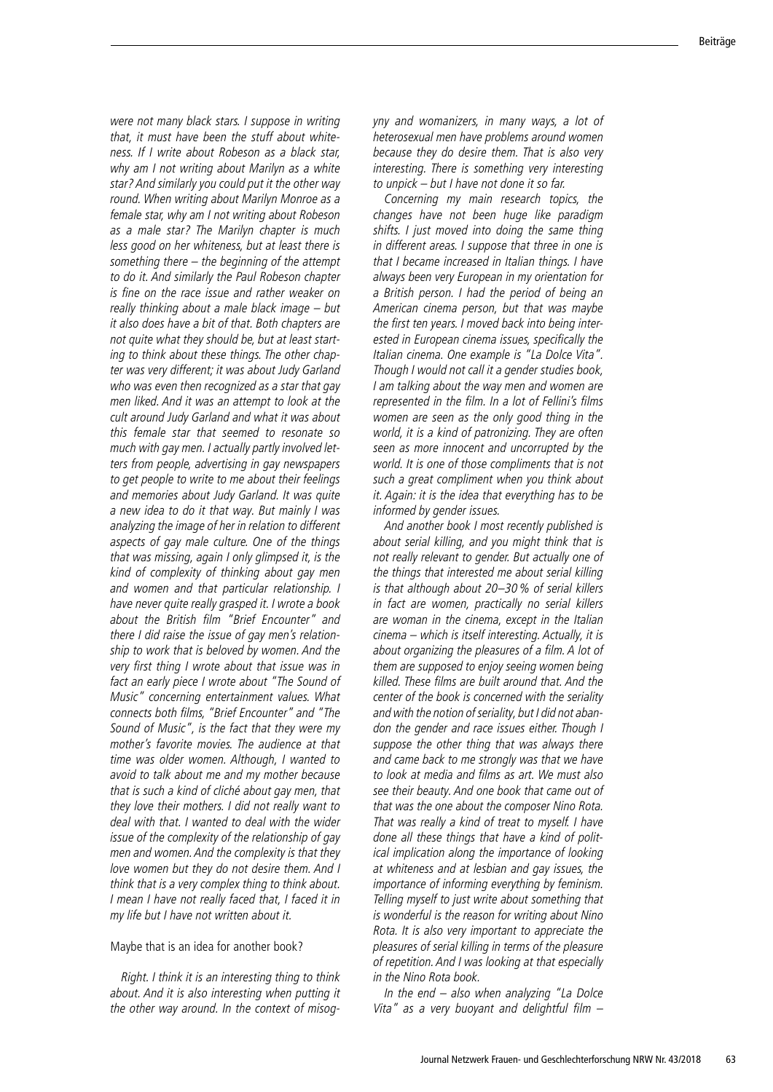were not many black stars. I suppose in writing that, it must have been the stuff about white ness. If I write about Robeson as a black star, why am I not writing about Marilyn as a white star? And similarly you could put it the other way round. When writing about Marilyn Monroe as a female star, why am I not writing about Robeson as a male star? The Marilyn chapter is much less good on her whiteness, but at least there is something there – the beginning of the attempt to do it. And similarly the Paul Robeson chapter is fine on the race issue and rather weaker on really thinking about a male black image – but it also does have a bit of that. Both chapters are not quite what they should be, but at least start ing to think about these things. The other chap ter was very different; it was about Judy Garland who was even then recognized as a star that gay men liked. And it was an attempt to look at the cult around Judy Garland and what it was about this female star that seemed to resonate so much with gay men. I actually partly involved let ters from people, advertising in gay newspapers to get people to write to me about their feelings and memories about Judy Garland. It was quite a new idea to do it that way. But mainly I was analyzing the image of her in relation to different aspects of gay male culture. One of the things that was missing, again I only glimpsed it, is the kind of complexity of thinking about gay men and women and that particular relationship. I have never quite really grasped it. I wrote a book about the British film "Brief Encounter" and there I did raise the issue of gay men's relation ship to work that is beloved by women. And the very first thing I wrote about that issue was in fact an early piece I wrote about "The Sound of Music" concerning entertainment values. What connects both films, "Brief Encounter" and "The Sound of Music", is the fact that they were my mother's favorite movies. The audience at that time was older women. Although, I wanted to avoid to talk about me and my mother because that is such a kind of cliché about gay men, that they love their mothers. I did not really want to deal with that. I wanted to deal with the wider issue of the complexity of the relationship of gay men and women. And the complexity is that they love women but they do not desire them. And I think that is a very complex thing to think about. I mean I have not really faced that, I faced it in my life but I have not written about it.

### Maybe that is an idea for another book?

Right. I think it is an interesting thing to think about. And it is also interesting when putting it the other way around. In the context of misogyny and womanizers, in many ways, a lot of heterosexual men have problems around women because they do desire them. That is also very interesting. There is something very interesting to unpick – but I have not done it so far.

Concerning my main research topics, the changes have not been huge like paradigm shifts. I just moved into doing the same thing in different areas. I suppose that three in one is that I became increased in Italian things. I have always been very European in my orientation for a British person. I had the period of being an American cinema person, but that was maybe the first ten years. I moved back into being interested in European cinema issues, specifically the Italian cinema. One example is "La Dolce Vita". Though I would not call it a gender studies book, I am talking about the way men and women are represented in the film. In a lot of Fellini's films women are seen as the only good thing in the world, it is a kind of patronizing. They are often seen as more innocent and uncorrupted by the world. It is one of those compliments that is not such a great compliment when you think about it. Again: it is the idea that everything has to be informed by gender issues.

And another book I most recently published is about serial killing, and you might think that is not really relevant to gender. But actually one of the things that interested me about serial killing is that although about 20–30% of serial killers in fact are women, practically no serial killers are woman in the cinema, except in the Italian cinema – which is itself interesting. Actually, it is about organizing the pleasures of a film. A lot of them are supposed to enjoy seeing women being killed. These films are built around that. And the center of the book is concerned with the seriality and with the notion of seriality, but I did not aban don the gender and race issues either. Though I suppose the other thing that was always there and came back to me strongly was that we have to look at media and films as art. We must also see their beauty. And one book that came out of that was the one about the composer Nino Rota. That was really a kind of treat to myself. I have done all these things that have a kind of polit ical implication along the importance of looking at whiteness and at lesbian and gay issues, the importance of informing everything by feminism. Telling myself to just write about something that is wonderful is the reason for writing about Nino Rota. It is also very important to appreciate the pleasures of serial killing in terms of the pleasure of repetition. And I was looking at that especially in the Nino Rota book.

In the end – also when analyzing "La Dolce Vita" as a very buoyant and delightful film –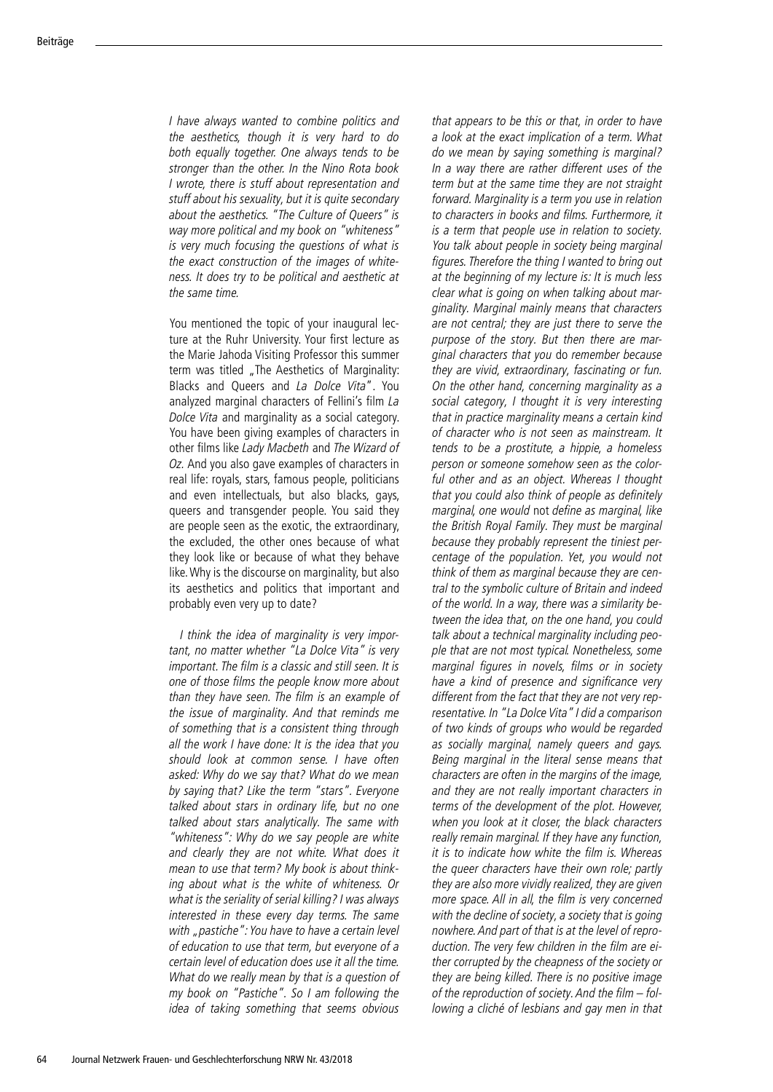I have always wanted to combine politics and the aesthetics, though it is very hard to do both equally together. One always tends to be stronger than the other. In the Nino Rota book I wrote, there is stuff about representation and stuff about his sexuality, but it is quite secondary about the aesthetics. "The Culture of Queers" is way more political and my book on "whiteness" is very much focusing the questions of what is the exact construction of the images of white ness. It does try to be political and aesthetic at the same time.

You mentioned the topic of your inaugural lec ture at the Ruhr University. Your first lecture as the Marie Jahoda Visiting Professor this summer term was titled "The Aesthetics of Marginality: Blacks and Queers and La Dolce Vita". You analyzed marginal characters of Fellini's film La Dolce Vita and marginality as a social category. You have been giving examples of characters in other films like Lady Macbeth and The Wizard of Oz. And you also gave examples of characters in real life: royals, stars, famous people, politicians and even intellectuals, but also blacks, gays, queers and transgender people. You said they are people seen as the exotic, the extraordinary, the excluded, the other ones because of what they look like or because of what they behave like. Why is the discourse on marginality, but also its aesthetics and politics that important and probably even very up to date?

I think the idea of marginality is very important, no matter whether "La Dolce Vita" is very important. The film is a classic and still seen. It is one of those films the people know more about than they have seen. The film is an example of the issue of marginality. And that reminds me of something that is a consistent thing through all the work I have done: It is the idea that you should look at common sense. I have often asked: Why do we say that? What do we mean by saying that? Like the term "stars". Everyone talked about stars in ordinary life, but no one talked about stars analytically. The same with "whiteness": Why do we say people are white and clearly they are not white. What does it mean to use that term? My book is about think ing about what is the white of whiteness. Or what is the seriality of serial killing? I was always interested in these every day terms. The same with "pastiche": You have to have a certain level of education to use that term, but everyone of a certain level of education does use it all the time. What do we really mean by that is a question of my book on "Pastiche". So I am following the idea of taking something that seems obvious

that appears to be this or that, in order to have a look at the exact implication of a term. What do we mean by saying something is marginal? In a way there are rather different uses of the term but at the same time they are not straight forward. Marginality is a term you use in relation to characters in books and films. Furthermore, it is a term that people use in relation to society. You talk about people in society being marginal figures. Therefore the thing I wanted to bring out at the beginning of my lecture is: It is much less clear what is going on when talking about marginality. Marginal mainly means that characters are not central; they are just there to serve the purpose of the story. But then there are marginal characters that you do remember because they are vivid, extraordinary, fascinating or fun. On the other hand, concerning marginality as a social category, I thought it is very interesting that in practice marginality means a certain kind of character who is not seen as mainstream. It tends to be a prostitute, a hippie, a homeless person or someone somehow seen as the colorful other and as an object. Whereas I thought that you could also think of people as definitely marginal, one would not define as marginal, like the British Royal Family. They must be marginal because they probably represent the tiniest percentage of the population. Yet, you would not think of them as marginal because they are cen tral to the symbolic culture of Britain and indeed of the world. In a way, there was a similarity be tween the idea that, on the one hand, you could talk about a technical marginality including peo ple that are not most typical. Nonetheless, some marginal figures in novels, films or in society have a kind of presence and significance very different from the fact that they are not very rep resentative. In "La Dolce Vita" I did a comparison of two kinds of groups who would be regarded as socially marginal, namely queers and gays. Being marginal in the literal sense means that characters are often in the margins of the image, and they are not really important characters in terms of the development of the plot. However, when you look at it closer, the black characters really remain marginal. If they have any function, it is to indicate how white the film is. Whereas the queer characters have their own role; partly they are also more vividly realized, they are given more space. All in all, the film is very concerned with the decline of society, a society that is going nowhere. And part of that is at the level of repro duction. The very few children in the film are ei ther corrupted by the cheapness of the society or they are being killed. There is no positive image of the reproduction of society. And the film – fol lowing a cliché of lesbians and gay men in that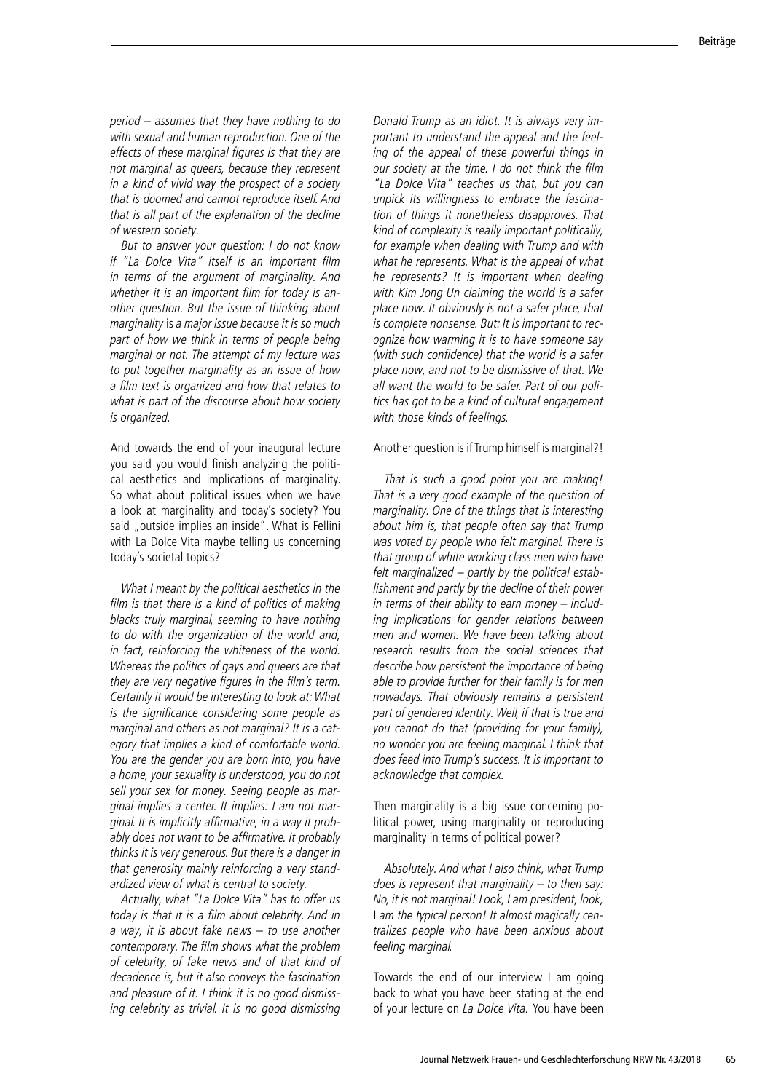period – assumes that they have nothing to do with sexual and human reproduction. One of the effects of these marginal figures is that they are not marginal as queers, because they represent in a kind of vivid way the prospect of a society that is doomed and cannot reproduce itself. And that is all part of the explanation of the decline of western society.

But to answer your question: I do not know if "La Dolce Vita" itself is an important film in terms of the argument of marginality. And whether it is an important film for today is an other question. But the issue of thinking about marginality is a major issue because it is so much part of how we think in terms of people being marginal or not. The attempt of my lecture was to put together marginality as an issue of how a film text is organized and how that relates to what is part of the discourse about how society is organized.

And towards the end of your inaugural lecture you said you would finish analyzing the politi cal aesthetics and implications of marginality. So what about political issues when we have a look at marginality and today's society? You said "outside implies an inside". What is Fellini with La Dolce Vita maybe telling us concerning today's societal topics?

What I meant by the political aesthetics in the film is that there is a kind of politics of making blacks truly marginal, seeming to have nothing to do with the organization of the world and, in fact, reinforcing the whiteness of the world. Whereas the politics of gays and queers are that they are very negative figures in the film's term. Certainly it would be interesting to look at: What is the significance considering some people as marginal and others as not marginal? It is a cat egory that implies a kind of comfortable world. You are the gender you are born into, you have a home, your sexuality is understood, you do not sell your sex for money. Seeing people as marginal implies a center. It implies: I am not marginal. It is implicitly affirmative, in a way it probably does not want to be affirmative. It probably thinks it is very generous. But there is a danger in that generosity mainly reinforcing a very stand ardized view of what is central to society.

Actually, what "La Dolce Vita" has to offer us today is that it is a film about celebrity. And in a way, it is about fake news – to use another contemporary. The film shows what the problem of celebrity, of fake news and of that kind of decadence is, but it also conveys the fascination and pleasure of it. I think it is no good dismiss ing celebrity as trivial. It is no good dismissing

Donald Trump as an idiot. It is always very im portant to understand the appeal and the feel ing of the appeal of these powerful things in our society at the time. I do not think the film "La Dolce Vita" teaches us that, but you can unpick its willingness to embrace the fascina tion of things it nonetheless disapproves. That kind of complexity is really important politically, for example when dealing with Trump and with what he represents. What is the appeal of what he represents? It is important when dealing with Kim Jong Un claiming the world is a safer place now. It obviously is not a safer place, that is complete nonsense. But: It is important to rec ognize how warming it is to have someone say (with such confidence) that the world is a safer place now, and not to be dismissive of that. We all want the world to be safer. Part of our poli tics has got to be a kind of cultural engagement with those kinds of feelings.

### Another question is if Trump himself is marginal?!

That is such a good point you are making! That is a very good example of the question of marginality. One of the things that is interesting about him is, that people often say that Trump was voted by people who felt marginal. There is that group of white working class men who have felt marginalized – partly by the political estab lishment and partly by the decline of their power in terms of their ability to earn money – includ ing implications for gender relations between men and women. We have been talking about research results from the social sciences that describe how persistent the importance of being able to provide further for their family is for men nowadays. That obviously remains a persistent part of gendered identity. Well, if that is true and you cannot do that (providing for your family), no wonder you are feeling marginal. I think that does feed into Trump's success. It is important to acknowledge that complex.

Then marginality is a big issue concerning po litical power, using marginality or reproducing marginality in terms of political power?

Absolutely. And what I also think, what Trump does is represent that marginality  $-$  to then say: No, it is not marginal! Look, I am president, look, I am the typical person! It almost magically centralizes people who have been anxious about feeling marginal.

Towards the end of our interview I am going back to what you have been stating at the end of your lecture on La Dolce Vita. You have been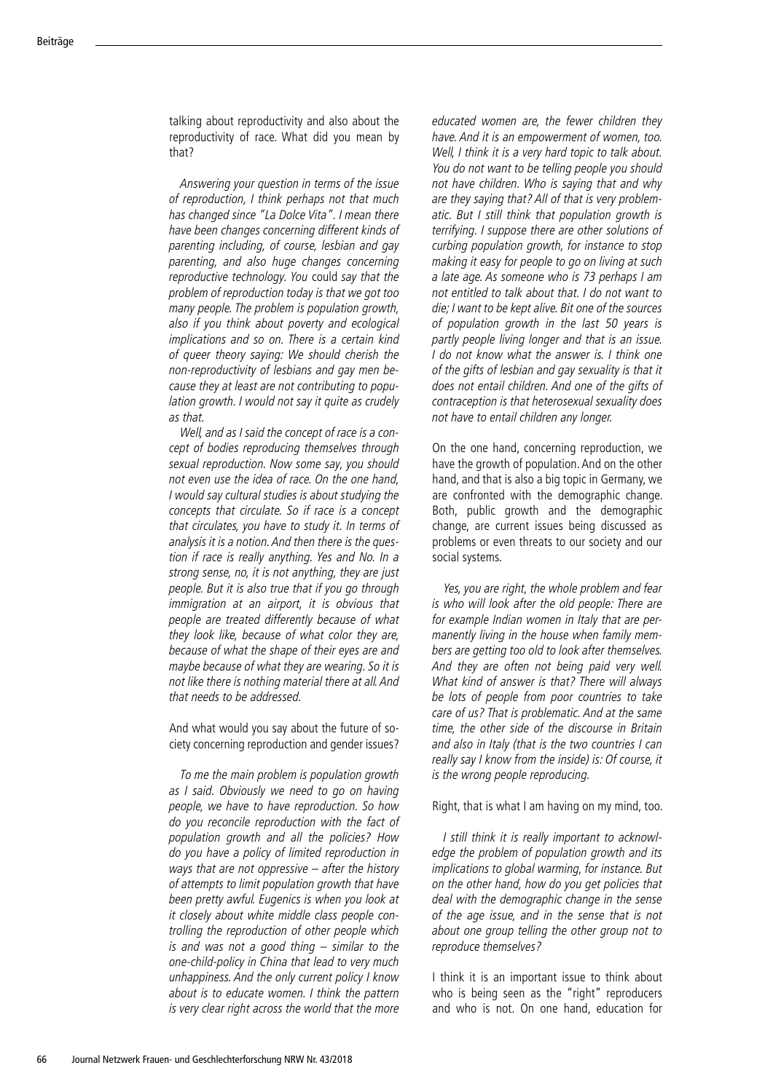talking about reproductivity and also about the reproductivity of race. What did you mean by that?

Answering your question in terms of the issue of reproduction, I think perhaps not that much has changed since "La Dolce Vita". I mean there have been changes concerning different kinds of parenting including, of course, lesbian and gay parenting, and also huge changes concerning reproductive technology. You could say that the problem of reproduction today is that we got too many people. The problem is population growth, also if you think about poverty and ecological implications and so on. There is a certain kind of queer theory saying: We should cherish the non -reproductivity of lesbians and gay men be cause they at least are not contributing to popu lation growth. I would not say it quite as crudely as that.

Well, and as I said the concept of race is a con cept of bodies reproducing themselves through sexual reproduction. Now some say, you should not even use the idea of race. On the one hand, I would say cultural studies is about studying the concepts that circulate. So if race is a concept that circulates, you have to study it. In terms of analysis it is a notion. And then there is the ques tion if race is really anything. Yes and No. In a strong sense, no, it is not anything, they are just people. But it is also true that if you go through immigration at an airport, it is obvious that people are treated differently because of what they look like, because of what color they are, because of what the shape of their eyes are and maybe because of what they are wearing. So it is not like there is nothing material there at all. And that needs to be addressed.

And what would you say about the future of so ciety concerning reproduction and gender issues?

To me the main problem is population growth as I said. Obviously we need to go on having people, we have to have reproduction. So how do you reconcile reproduction with the fact of population growth and all the policies? How do you have a policy of limited reproduction in ways that are not oppressive – after the history of attempts to limit population growth that have been pretty awful. Eugenics is when you look at it closely about white middle class people con trolling the reproduction of other people which is and was not a good thing  $-$  similar to the one -child -policy in China that lead to very much unhappiness. And the only current policy I know about is to educate women. I think the pattern is very clear right across the world that the more

educated women are, the fewer children they have. And it is an empowerment of women, too. Well, I think it is a very hard topic to talk about. You do not want to be telling people you should not have children. Who is saying that and why are they saying that? All of that is very problem atic. But I still think that population growth is terrifying. I suppose there are other solutions of curbing population growth, for instance to stop making it easy for people to go on living at such a late age. As someone who is 73 perhaps I am not entitled to talk about that. I do not want to die; I want to be kept alive. Bit one of the sources of population growth in the last 50 years is partly people living longer and that is an issue. I do not know what the answer is. I think one of the gifts of lesbian and gay sexuality is that it does not entail children. And one of the gifts of contraception is that heterosexual sexuality does not have to entail children any longer.

On the one hand, concerning reproduction, we have the growth of population. And on the other hand, and that is also a big topic in Germany, we are confronted with the demographic change. Both, public growth and the demographic change, are current issues being discussed as problems or even threats to our society and our social systems.

Yes, you are right, the whole problem and fear is who will look after the old people: There are for example Indian women in Italy that are permanently living in the house when family members are getting too old to look after themselves. And they are often not being paid very well. What kind of answer is that? There will always be lots of people from poor countries to take care of us? That is problematic. And at the same time, the other side of the discourse in Britain and also in Italy (that is the two countries I can really say I know from the inside) is: Of course, it is the wrong people reproducing.

Right, that is what I am having on my mind, too.

I still think it is really important to acknowl edge the problem of population growth and its implications to global warming, for instance. But on the other hand, how do you get policies that deal with the demographic change in the sense of the age issue, and in the sense that is not about one group telling the other group not to reproduce themselves?

I think it is an important issue to think about who is being seen as the "right" reproducers and who is not. On one hand, education for